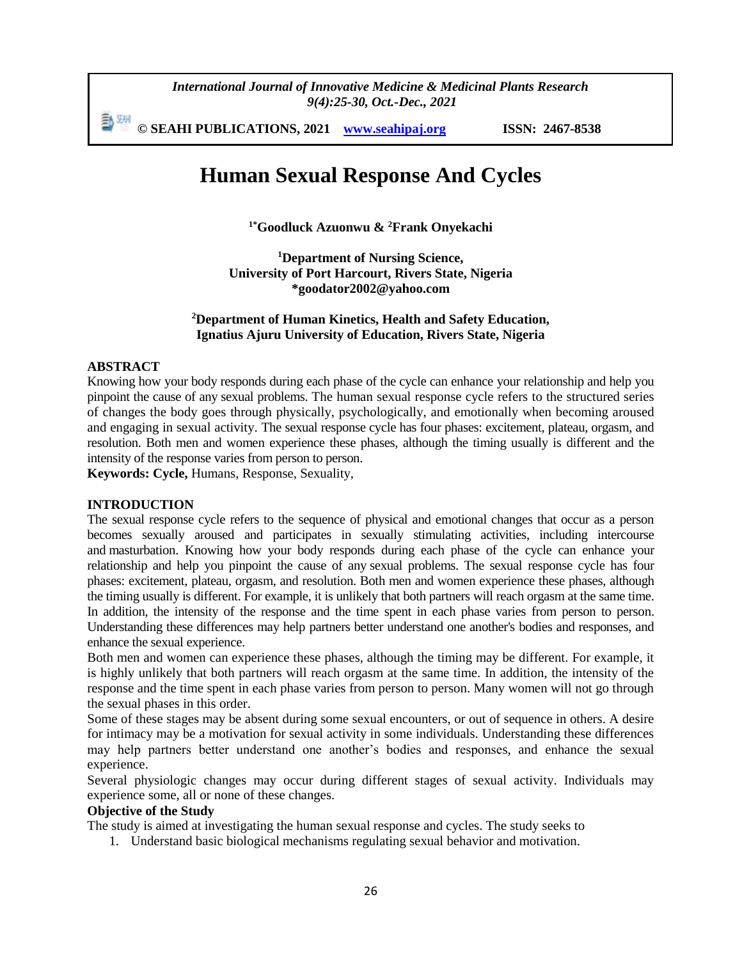*International Journal of Innovative Medicine & Medicinal Plants Research 9(4):25-30, Oct.-Dec., 2021*

勤細 **© SEAHI PUBLICATIONS, 2021 [www.seahipaj.org](http://www.seahipaj.org/) ISSN: 2467-8538**

# **Human Sexual Response And Cycles**

**1\*Goodluck Azuonwu & <sup>2</sup>Frank Onyekachi** 

**<sup>1</sup>Department of Nursing Science, University of Port Harcourt, Rivers State, Nigeria \*goodator2002@yahoo.com**

# **<sup>2</sup>Department of Human Kinetics, Health and Safety Education, Ignatius Ajuru University of Education, Rivers State, Nigeria**

# **ABSTRACT**

Knowing how your body responds during each phase of the cycle can enhance your relationship and help you pinpoint the cause of any [sexual problems.](https://www.webmd.com/women/guide/sexual-dysfunction-women) The human sexual response cycle refers to the structured series of changes the body goes through physically, psychologically, and emotionally when becoming aroused and engaging in sexual activity. The sexual response cycle has four phases: excitement, plateau, orgasm, and resolution. Both men and women experience these phases, although the timing usually is different and the intensity of the response varies from person to person.

**Keywords: Cycle,** Humans, Response, Sexuality,

### **INTRODUCTION**

The sexual response cycle refers to the sequence of physical and emotional changes that occur as a person becomes sexually aroused and participates in sexually stimulating activities, including intercourse and [masturbation.](https://www.webmd.com/sex-relationships/guide/masturbation-guide) Knowing how your body responds during each phase of the cycle can enhance your relationship and help you pinpoint the cause of any [sexual problems.](https://www.webmd.com/women/guide/sexual-dysfunction-women) The sexual response cycle has four phases: excitement, plateau, orgasm, and resolution. Both men and women experience these phases, although the timing usually is different. For example, it is unlikely that both partners will reach orgasm at the same time. In addition, the intensity of the response and the time spent in each phase varies from person to person. Understanding these differences may help partners better understand one another's bodies and responses, and enhance the sexual experience.

Both men and women can experience these phases, although the timing may be different. For example, it is highly unlikely that both partners will reach orgasm at the same time. In addition, the intensity of the response and the time spent in each phase varies from person to person. Many women will not go through the sexual phases in this order.

Some of these stages may be absent during some sexual encounters, or out of sequence in others. A desire for intimacy may be a motivation for sexual activity in some individuals. Understanding these differences may help partners better understand one another's bodies and responses, and enhance the sexual experience.

Several physiologic changes may occur during different stages of sexual activity. Individuals may experience some, all or none of these changes.

## **Objective of the Study**

The study is aimed at investigating the human sexual response and cycles. The study seeks to

1. Understand basic biological mechanisms regulating sexual behavior and motivation.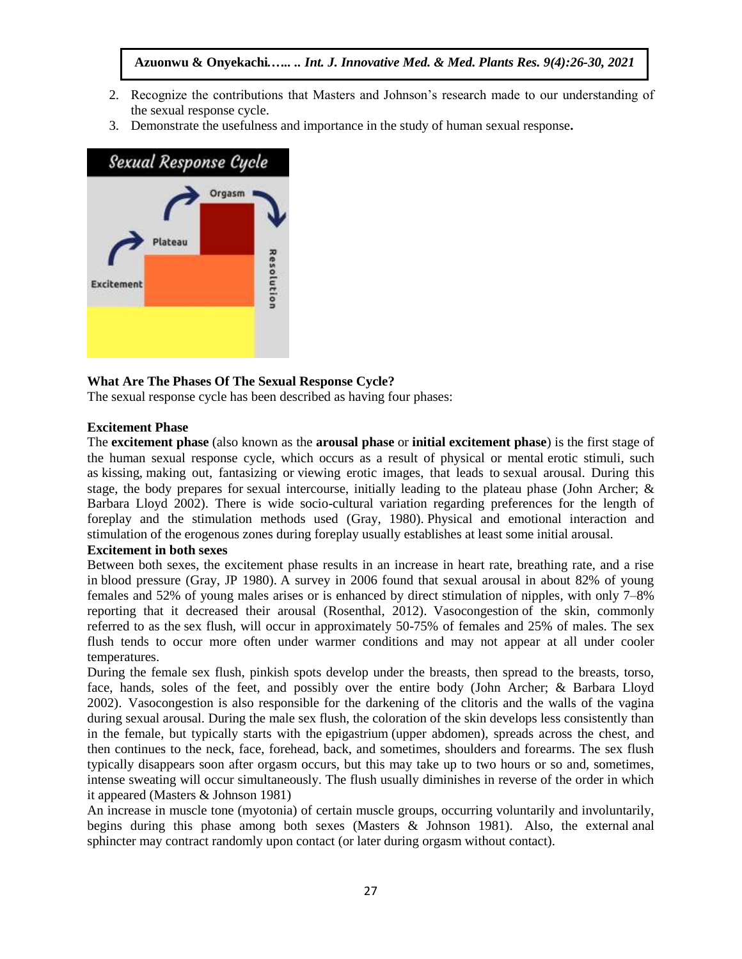# **Azuonwu & Onyekachi***.….. .. Int. J. Innovative Med. & Med. Plants Res. 9(4):26-30, 2021*

- 2. Recognize the contributions that Masters and Johnson's research made to our understanding of the sexual response cycle.
- 3. Demonstrate the usefulness and importance in the study of human sexual response**.**



## **What Are The Phases Of The Sexual Response Cycle?**

The sexual response cycle has been described as having four phases:

#### **Excitement Phase**

The **excitement phase** (also known as the **arousal phase** or **initial excitement phase**) is the first stage of the human sexual response cycle, which occurs as a result of physical or mental [erotic stimuli,](https://en.wikipedia.org/wiki/Erotic_stimuli) such as [kissing,](https://en.wikipedia.org/wiki/Kiss) [making out,](https://en.wikipedia.org/wiki/Making_out) fantasizing or [viewing erotic images,](https://en.wikipedia.org/wiki/Pornography) that leads to [sexual arousal.](https://en.wikipedia.org/wiki/Sexual_arousal) During this stage, the body prepares for [sexual intercourse,](https://en.wikipedia.org/wiki/Sexual_intercourse) initially leading to the plateau phase (John Archer; & Barbara Lloyd 2002). There is wide socio-cultural variation regarding preferences for the length of foreplay and the stimulation methods used (Gray, 1980). Physical and emotional interaction and stimulation of the erogenous zones during foreplay usually establishes at least some initial arousal.

#### **Excitement in both sexes**

Between both sexes, the excitement phase results in an increase in heart rate, breathing rate, and a rise in [blood pressure](https://en.wikipedia.org/wiki/Blood_pressure) (Gray, JP 1980). A survey in 2006 found that sexual arousal in about 82% of young females and 52% of young males arises or is enhanced by direct [stimulation of nipples,](https://en.wikipedia.org/wiki/Stimulation_of_nipples) with only 7–8% reporting that it decreased their arousal (Rosenthal, 2012). [Vasocongestion](https://en.wikipedia.org/wiki/Vasocongestion) of the skin, commonly referred to as the [sex flush,](https://en.wikipedia.org/wiki/Sex_flush) will occur in approximately 50-75% of females and 25% of males. The sex flush tends to occur more often under warmer conditions and may not appear at all under cooler temperatures.

During the female sex flush, pinkish spots develop under the breasts, then spread to the breasts, torso, face, hands, soles of the feet, and possibly over the entire body (John Archer; & Barbara Lloyd 2002). Vasocongestion is also responsible for the darkening of the clitoris and the walls of the vagina during sexual arousal. During the male sex flush, the coloration of the skin develops less consistently than in the female, but typically starts with the [epigastrium](https://en.wikipedia.org/wiki/Epigastrium) (upper abdomen), spreads across the chest, and then continues to the neck, face, forehead, back, and sometimes, shoulders and forearms. The sex flush typically disappears soon after orgasm occurs, but this may take up to two hours or so and, sometimes, intense sweating will occur simultaneously. The flush usually diminishes in reverse of the order in which it appeared (Masters & Johnson 1981)

An increase in muscle tone [\(myotonia\)](https://en.wikipedia.org/wiki/Myotonia) of certain muscle groups, occurring voluntarily and involuntarily, begins during this phase among both sexes (Masters & Johnson 1981). Also, the external [anal](https://en.wikipedia.org/wiki/Anus)  [sphincter](https://en.wikipedia.org/wiki/Anus) may [contract](https://en.wikipedia.org/wiki/Anal_contraction) randomly upon contact (or later during [orgasm](https://en.wikipedia.org/wiki/Orgasm) without contact).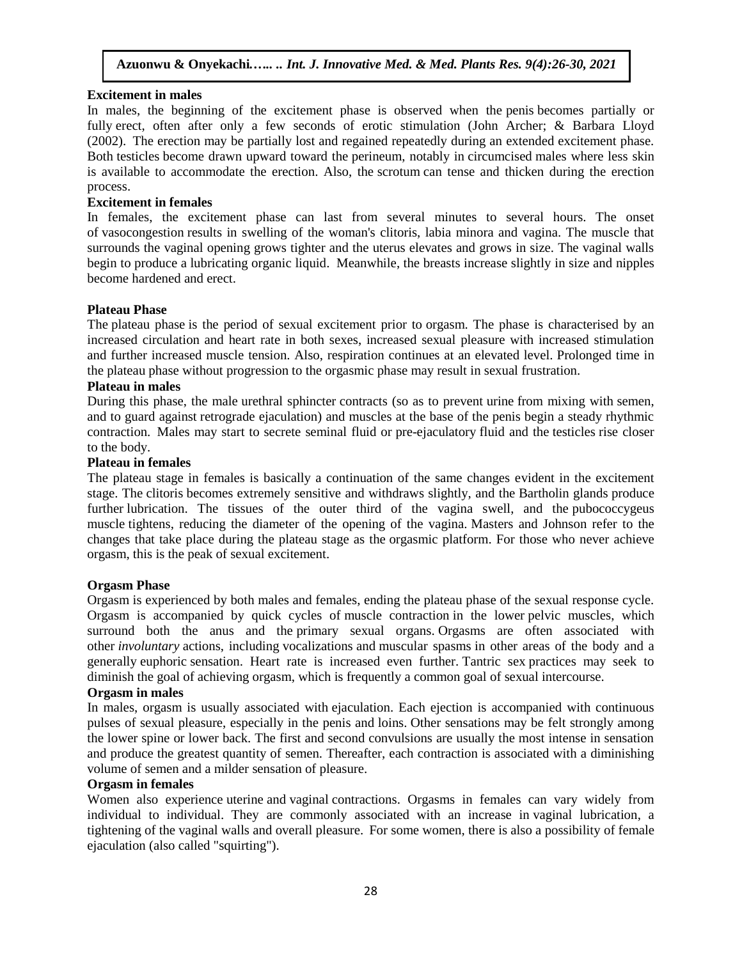## **Excitement in males**

In males, the beginning of the excitement phase is observed when the [penis](https://en.wikipedia.org/wiki/Human_penis) becomes partially or fully [erect,](https://en.wikipedia.org/wiki/Erection) often after only a few seconds of erotic stimulation (John Archer; & Barbara Lloyd (2002). The erection may be partially lost and regained repeatedly during an extended excitement phase. Both [testicles](https://en.wikipedia.org/wiki/Testicle) become drawn upward toward the [perineum,](https://en.wikipedia.org/wiki/Perineum) notably in [circumcised](https://en.wikipedia.org/wiki/Circumcision) males where less skin is available to accommodate the erection. Also, the [scrotum](https://en.wikipedia.org/wiki/Scrotum) can tense and thicken during the erection process.

# **Excitement in females**

In females, the excitement phase can last from several minutes to several hours. The onset of [vasocongestion](https://en.wikipedia.org/wiki/Vasocongestion) results in swelling of the woman's clitoris, labia minora and vagina. The muscle that surrounds the vaginal opening grows tighter and the uterus elevates and grows in size. The vaginal walls begin to produce a [lubricating organic liquid.](https://en.wikipedia.org/wiki/Vaginal_lubrication) Meanwhile, the breasts increase slightly in size and nipples become hardened and erect.

## **Plateau Phase**

The plateau phase is the period of sexual excitement prior to [orgasm.](https://en.wikipedia.org/wiki/Orgasm) The phase is characterised by an increased circulation and heart rate in both sexes, increased sexual pleasure with increased stimulation and further increased muscle tension. Also, respiration continues at an elevated level. Prolonged time in the plateau phase without progression to the orgasmic phase may result in [sexual frustration.](https://en.wikipedia.org/wiki/Sexual_frustration)

## **Plateau in males**

During this phase, the male [urethral sphincter](https://en.wikipedia.org/wiki/Urethral_sphincter) contracts (so as to prevent [urine](https://en.wikipedia.org/wiki/Urine) from mixing with [semen,](https://en.wikipedia.org/wiki/Semen) and to guard against [retrograde ejaculation\)](https://en.wikipedia.org/wiki/Retrograde_ejaculation) and muscles at the base of the penis begin a steady rhythmic contraction. Males may start to secrete seminal fluid or [pre-ejaculatory](https://en.wikipedia.org/wiki/Pre-ejaculate) fluid and the [testicles](https://en.wikipedia.org/wiki/Testicles) rise closer to the body.

# **Plateau in females**

The plateau stage in females is basically a continuation of the same changes evident in the excitement stage. The [clitoris](https://en.wikipedia.org/wiki/Clitoris) becomes extremely sensitive and withdraws slightly, and the [Bartholin glands](https://en.wikipedia.org/wiki/Bartholin_glands) produce further [lubrication.](https://en.wikipedia.org/wiki/Vaginal_lubrication) The tissues of the outer third of the vagina swell, and the [pubococcygeus](https://en.wikipedia.org/wiki/Pubococcygeus_muscle)  [muscle](https://en.wikipedia.org/wiki/Pubococcygeus_muscle) tightens, reducing the diameter of the opening of the vagina. Masters and Johnson refer to the changes that take place during the plateau stage as the [orgasmic platform.](https://en.wikipedia.org/wiki/Orgasmic_platform) For those who never achieve orgasm, this is the peak of sexual excitement.

#### **Orgasm Phase**

Orgasm is experienced by both males and females, ending the plateau phase of the sexual response cycle. Orgasm is accompanied by quick cycles of [muscle contraction](https://en.wikipedia.org/wiki/Muscle_contraction) in the lower [pelvic muscles,](https://en.wikipedia.org/wiki/Pelvic_muscles) which surround both the anus and the [primary sexual organs.](https://en.wikipedia.org/wiki/Sex_organ) Orgasms are often associated with other *involuntary* actions, including [vocalizations](https://en.wikipedia.org/wiki/Vocable) and [muscular spasms](https://en.wikipedia.org/wiki/Muscular_spasms) in other areas of the body and a generally [euphoric](https://en.wikipedia.org/wiki/Euphoria) sensation. Heart rate is increased even further. [Tantric sex](https://en.wikipedia.org/wiki/Tantric_sex) practices may seek to diminish the goal of achieving orgasm, which is frequently a common goal of sexual intercourse.

# **Orgasm in males**

In males, orgasm is usually associated with [ejaculation.](https://en.wikipedia.org/wiki/Ejaculation) Each ejection is accompanied with continuous pulses of sexual pleasure, especially in the penis and [loins.](https://en.wikipedia.org/wiki/Loin) Other sensations may be felt strongly among the lower spine or lower back. The first and second convulsions are usually the most intense in sensation and produce the greatest quantity of semen. Thereafter, each contraction is associated with a diminishing volume of semen and a milder sensation of pleasure.

#### **Orgasm in females**

Women also experience [uterine](https://en.wikipedia.org/wiki/Uterine_contraction) and [vaginal](https://en.wikipedia.org/wiki/Vaginal_contraction) [contractions.](https://en.wikipedia.org/wiki/Muscle_contraction) Orgasms in females can vary widely from individual to individual. They are commonly associated with an increase in [vaginal lubrication,](https://en.wikipedia.org/wiki/Vaginal_lubrication) a tightening of the vaginal walls and overall pleasure. For some women, there is also a possibility of [female](https://en.wikipedia.org/wiki/Female_ejaculation)  [ejaculation](https://en.wikipedia.org/wiki/Female_ejaculation) (also called "squirting").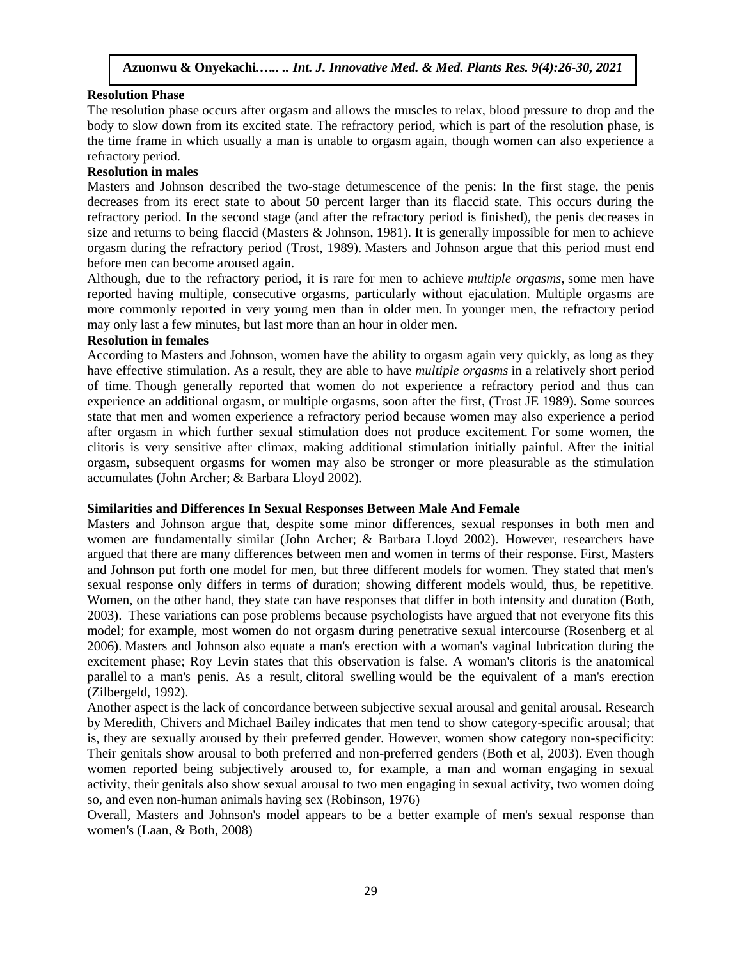## **Resolution Phase**

The resolution phase occurs after orgasm and allows the muscles to relax, blood pressure to drop and the body to slow down from its excited state. The refractory period, which is part of the resolution phase, is the time frame in which usually a man is unable to orgasm again, though women can also experience a refractory period.

## **Resolution in males**

Masters and Johnson described the two-stage detumescence of the penis: In the first stage, the penis decreases from its erect state to about 50 percent larger than its flaccid state. This occurs during the refractory period. In the second stage (and after the refractory period is finished), the penis decreases in size and returns to being flaccid (Masters & Johnson, 1981). It is generally impossible for men to achieve orgasm during the refractory period (Trost, 1989). Masters and Johnson argue that this period must end before men can become aroused again.

Although, due to the refractory period, it is rare for men to achieve *[multiple orgasms](https://en.wikipedia.org/wiki/Orgasm#Subsequent_and_multiple_orgasms)*, some men have reported having multiple, consecutive orgasms, particularly without ejaculation. Multiple orgasms are more commonly reported in very young men than in older men. In younger men, the refractory period may only last a few minutes, but last more than an hour in older men.

#### **Resolution in females**

According to Masters and Johnson, women have the ability to orgasm again very quickly, as long as they have effective stimulation. As a result, they are able to have *multiple orgasms* in a relatively short period of time. Though generally reported that women do not experience a refractory period and thus can experience an additional orgasm, or multiple orgasms, soon after the first, (Trost JE 1989). Some sources state that men and women experience a refractory period because women may also experience a period after orgasm in which further sexual stimulation does not produce excitement. For some women, the clitoris is very sensitive after climax, making additional stimulation initially painful. After the initial orgasm, subsequent orgasms for women may also be stronger or more pleasurable as the stimulation accumulates (John Archer; & Barbara Lloyd 2002).

## **Similarities and Differences In Sexual Responses Between Male And Female**

Masters and Johnson argue that, despite some minor differences, sexual responses in both men and women are fundamentally similar (John Archer; & Barbara Lloyd 2002). However, researchers have argued that there are many differences between men and women in terms of their response. First, Masters and Johnson put forth one model for men, but three different models for women. They stated that men's sexual response only differs in terms of duration; showing different models would, thus, be repetitive. Women, on the other hand, they state can have responses that differ in both intensity and duration (Both, 2003). These variations can pose problems because psychologists have argued that not everyone fits this model; for example, most women do not orgasm during penetrative sexual intercourse (Rosenberg et al 2006). Masters and Johnson also equate a man's erection with a woman's vaginal lubrication during the excitement phase; Roy Levin states that this observation is false. A woman's clitoris is the [anatomical](https://en.wikipedia.org/wiki/Homology_(biology))  [parallel](https://en.wikipedia.org/wiki/Homology_(biology)) to a man's penis. As a result, [clitoral swelling](https://en.wikipedia.org/wiki/Clitoral_erection) would be the equivalent of a man's erection (Zilbergeld, 1992).

Another aspect is the lack of concordance between subjective [sexual arousal](https://en.wikipedia.org/wiki/Sexual_arousal) and genital arousal. Research by [Meredith, Chivers](https://en.wikipedia.org/wiki/Meredith_Chivers) and [Michael Bailey](https://en.wikipedia.org/wiki/J._Michael_Bailey) indicates that men tend to show category-specific arousal; that is, they are sexually aroused by their preferred gender. However, women show category non-specificity: Their genitals show arousal to both preferred and non-preferred genders (Both et al, 2003). Even though women reported being subjectively aroused to, for example, a man and woman engaging in sexual activity, their genitals also show sexual arousal to two men engaging in sexual activity, two women doing so, and even non-human animals having sex (Robinson, 1976)

Overall, Masters and Johnson's model appears to be a better example of men's sexual response than women's (Laan, & Both, 2008)